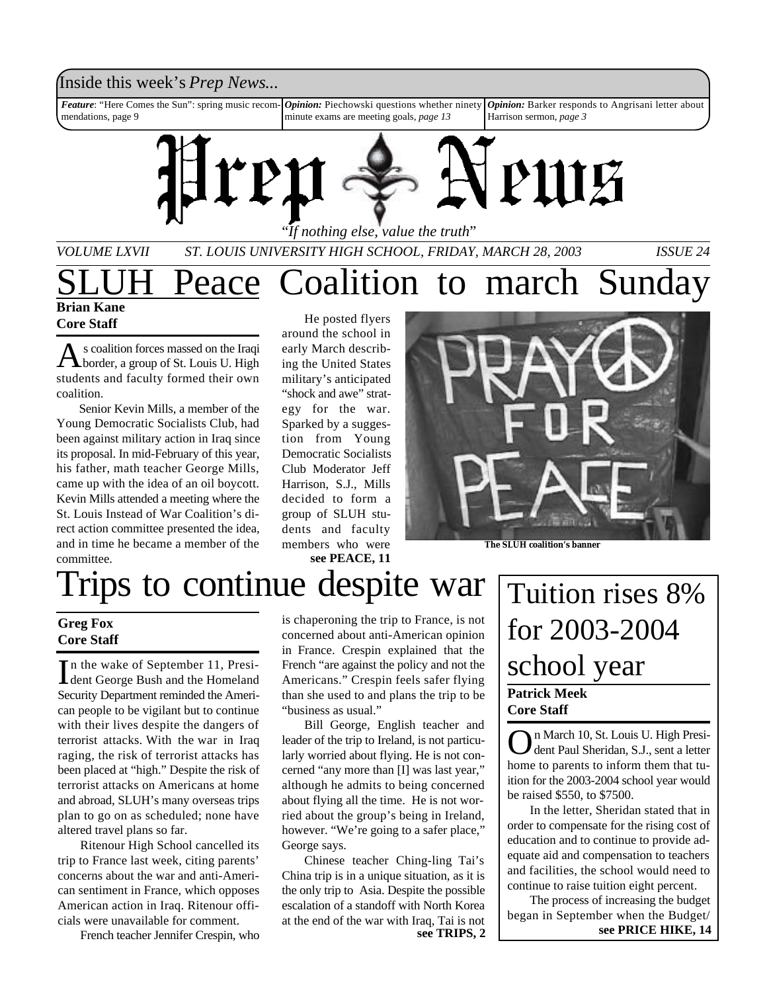### Inside this week's *Prep News*...

*Feature*: "Here Comes the Sun": spring music recommendations, page 9 *Opinion:* Piechowski questions whether ninety minute exams are meeting goals, *page 13 Opinion:* Barker responds to Angrisani letter about Harrison sermon, *page 3*



*VOLUME LXVII ST. LOUIS UNIVERSITY HIGH SCHOOL, FRIDAY, MARCH 28, 2003 ISSUE 24*

### **Brian Kane** Peace Coalition to march Sunday

### **Core Staff**

As coalition forces massed on the Iraqi s coalition forces massed on the Iraqi students and faculty formed their own coalition.

Senior Kevin Mills, a member of the Young Democratic Socialists Club, had been against military action in Iraq since its proposal. In mid-February of this year, his father, math teacher George Mills, came up with the idea of an oil boycott. Kevin Mills attended a meeting where the St. Louis Instead of War Coalition's direct action committee presented the idea, and in time he became a member of the committee.

He posted flyers around the school in early March describing the United States military's anticipated "shock and awe" strategy for the war. Sparked by a suggestion from Young Democratic Socialists Club Moderator Jeff Harrison, S.J., Mills decided to form a group of SLUH students and faculty members who were **see PEACE, 11**



**The SLUH coalition's banner**

# Trips to continue despite war

### **Greg Fox Core Staff**

In the wake of September 11, President George Bush and the Homeland In the wake of September 11, Presi-Security Department reminded the American people to be vigilant but to continue with their lives despite the dangers of terrorist attacks. With the war in Iraq raging, the risk of terrorist attacks has been placed at "high." Despite the risk of terrorist attacks on Americans at home and abroad, SLUH's many overseas trips plan to go on as scheduled; none have altered travel plans so far.

Ritenour High School cancelled its trip to France last week, citing parents' concerns about the war and anti-American sentiment in France, which opposes American action in Iraq. Ritenour officials were unavailable for comment.

French teacher Jennifer Crespin, who

is chaperoning the trip to France, is not concerned about anti-American opinion in France. Crespin explained that the French "are against the policy and not the Americans." Crespin feels safer flying than she used to and plans the trip to be "business as usual."

Bill George, English teacher and leader of the trip to Ireland, is not particularly worried about flying. He is not concerned "any more than [I] was last year," although he admits to being concerned about flying all the time. He is not worried about the group's being in Ireland, however. "We're going to a safer place," George says.

Chinese teacher Ching-ling Tai's China trip is in a unique situation, as it is the only trip to Asia. Despite the possible escalation of a standoff with North Korea at the end of the war with Iraq, Tai is not

# **Patrick Meek Core Staff** Tuition rises 8% for 2003-2004 school year

On March 10, St. Louis U. High President Paul Sheridan, S.J., sent a letter dent Paul Sheridan, S.J., sent a letter home to parents to inform them that tuition for the 2003-2004 school year would be raised \$550, to \$7500.

In the letter, Sheridan stated that in order to compensate for the rising cost of education and to continue to provide adequate aid and compensation to teachers and facilities, the school would need to continue to raise tuition eight percent.

The process of increasing the budget began in September when the Budget/ **see TRIPS, 2 see PRICE HIKE, 14**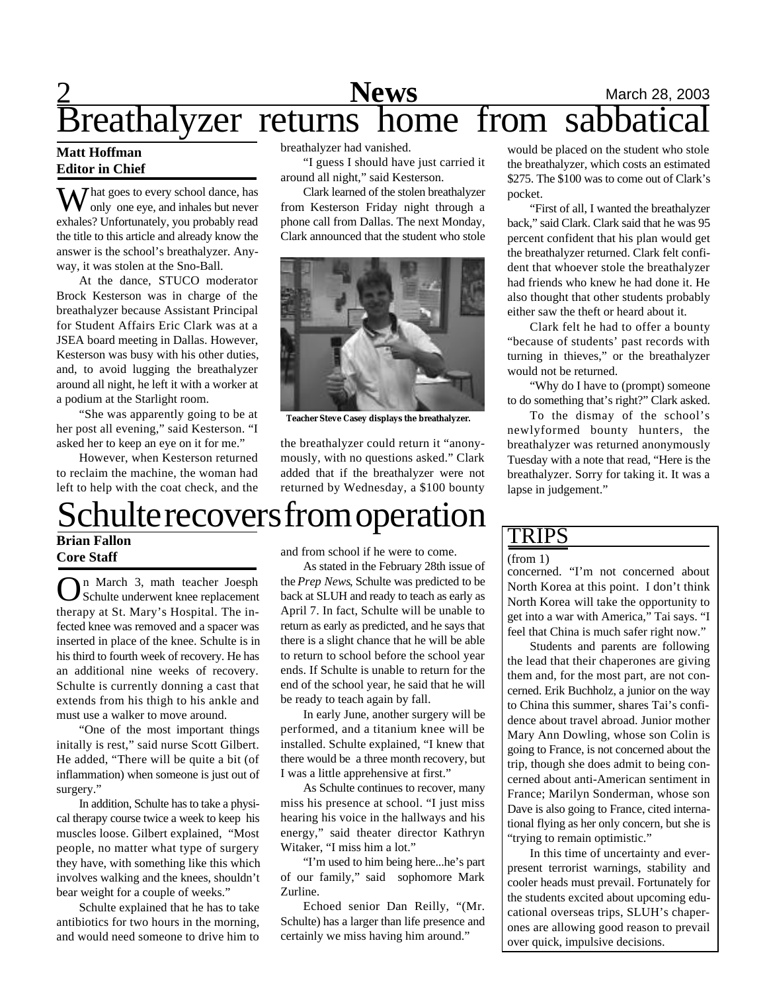# 2 **News** March 28, 2003 Breathalyzer returns home from sabbatical

### **Matt Hoffman Editor in Chief**

 $\sum$  hat goes to every school dance, has only one eye, and inhales but never exhales? Unfortunately, you probably read the title to this article and already know the answer is the school's breathalyzer. Anyway, it was stolen at the Sno-Ball.

At the dance, STUCO moderator Brock Kesterson was in charge of the breathalyzer because Assistant Principal for Student Affairs Eric Clark was at a JSEA board meeting in Dallas. However, Kesterson was busy with his other duties, and, to avoid lugging the breathalyzer around all night, he left it with a worker at a podium at the Starlight room.

"She was apparently going to be at her post all evening," said Kesterson. "I asked her to keep an eye on it for me."

However, when Kesterson returned to reclaim the machine, the woman had left to help with the coat check, and the breathalyzer had vanished.

"I guess I should have just carried it around all night," said Kesterson.

Clark learned of the stolen breathalyzer from Kesterson Friday night through a phone call from Dallas. The next Monday, Clark announced that the student who stole



**Teacher Steve Casey displays the breathalyzer.**

the breathalyzer could return it "anonymously, with no questions asked." Clark added that if the breathalyzer were not returned by Wednesday, a \$100 bounty

would be placed on the student who stole the breathalyzer, which costs an estimated \$275. The \$100 was to come out of Clark's pocket.

"First of all, I wanted the breathalyzer back," said Clark. Clark said that he was 95 percent confident that his plan would get the breathalyzer returned. Clark felt confident that whoever stole the breathalyzer had friends who knew he had done it. He also thought that other students probably either saw the theft or heard about it.

Clark felt he had to offer a bounty "because of students' past records with turning in thieves," or the breathalyzer would not be returned.

"Why do I have to (prompt) someone to do something that's right?" Clark asked.

To the dismay of the school's newlyformed bounty hunters, the breathalyzer was returned anonymously Tuesday with a note that read, "Here is the breathalyzer. Sorry for taking it. It was a lapse in judgement."

# Schulte recovers from operation

**Brian Fallon Core Staff**

On March 3, math teacher Joesph<br>Schulte underwent knee replacement n March 3, math teacher Joesph therapy at St. Mary's Hospital. The infected knee was removed and a spacer was inserted in place of the knee. Schulte is in his third to fourth week of recovery. He has an additional nine weeks of recovery. Schulte is currently donning a cast that extends from his thigh to his ankle and must use a walker to move around.

"One of the most important things initally is rest," said nurse Scott Gilbert. He added, "There will be quite a bit (of inflammation) when someone is just out of surgery."

In addition, Schulte has to take a physical therapy course twice a week to keep his muscles loose. Gilbert explained, "Most people, no matter what type of surgery they have, with something like this which involves walking and the knees, shouldn't bear weight for a couple of weeks."

Schulte explained that he has to take antibiotics for two hours in the morning, and would need someone to drive him to

and from school if he were to come.

As stated in the February 28th issue of the *Prep News*, Schulte was predicted to be back at SLUH and ready to teach as early as April 7. In fact, Schulte will be unable to return as early as predicted, and he says that there is a slight chance that he will be able to return to school before the school year ends. If Schulte is unable to return for the end of the school year, he said that he will be ready to teach again by fall.

In early June, another surgery will be performed, and a titanium knee will be installed. Schulte explained, "I knew that there would be a three month recovery, but I was a little apprehensive at first."

As Schulte continues to recover, many miss his presence at school. "I just miss hearing his voice in the hallways and his energy," said theater director Kathryn Witaker, "I miss him a lot."

"I'm used to him being here...he's part of our family," said sophomore Mark Zurline.

Echoed senior Dan Reilly, "(Mr. Schulte) has a larger than life presence and certainly we miss having him around."

### TRIPS

### (from 1)

concerned. "I'm not concerned about North Korea at this point. I don't think North Korea will take the opportunity to get into a war with America," Tai says. "I feel that China is much safer right now."

Students and parents are following the lead that their chaperones are giving them and, for the most part, are not concerned. Erik Buchholz, a junior on the way to China this summer, shares Tai's confidence about travel abroad. Junior mother Mary Ann Dowling, whose son Colin is going to France, is not concerned about the trip, though she does admit to being concerned about anti-American sentiment in France; Marilyn Sonderman, whose son Dave is also going to France, cited international flying as her only concern, but she is "trying to remain optimistic."

In this time of uncertainty and everpresent terrorist warnings, stability and cooler heads must prevail. Fortunately for the students excited about upcoming educational overseas trips, SLUH's chaperones are allowing good reason to prevail over quick, impulsive decisions.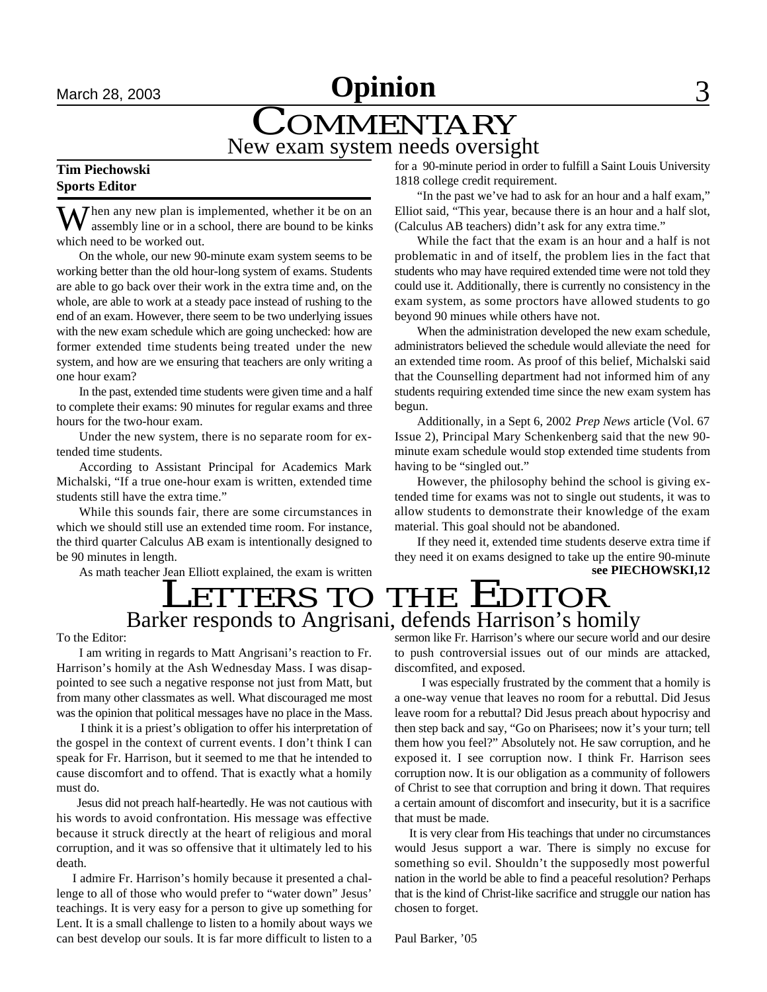# **March 28, 2003 Opinion** 3

# **COMMENTARY** New exam system needs oversight

### **Tim Piechowski Sports Editor**

 $\sum$  hen any new plan is implemented, whether it be on an assembly line or in a school, there are bound to be kinks which need to be worked out.

On the whole, our new 90-minute exam system seems to be working better than the old hour-long system of exams. Students are able to go back over their work in the extra time and, on the whole, are able to work at a steady pace instead of rushing to the end of an exam. However, there seem to be two underlying issues with the new exam schedule which are going unchecked: how are former extended time students being treated under the new system, and how are we ensuring that teachers are only writing a one hour exam?

In the past, extended time students were given time and a half to complete their exams: 90 minutes for regular exams and three hours for the two-hour exam.

Under the new system, there is no separate room for extended time students.

According to Assistant Principal for Academics Mark Michalski, "If a true one-hour exam is written, extended time students still have the extra time."

While this sounds fair, there are some circumstances in which we should still use an extended time room. For instance, the third quarter Calculus AB exam is intentionally designed to be 90 minutes in length.

As math teacher Jean Elliott explained, the exam is written

for a 90-minute period in order to fulfill a Saint Louis University 1818 college credit requirement.

"In the past we've had to ask for an hour and a half exam," Elliot said, "This year, because there is an hour and a half slot, (Calculus AB teachers) didn't ask for any extra time."

While the fact that the exam is an hour and a half is not problematic in and of itself, the problem lies in the fact that students who may have required extended time were not told they could use it. Additionally, there is currently no consistency in the exam system, as some proctors have allowed students to go beyond 90 minues while others have not.

When the administration developed the new exam schedule, administrators believed the schedule would alleviate the need for an extended time room. As proof of this belief, Michalski said that the Counselling department had not informed him of any students requiring extended time since the new exam system has begun.

Additionally, in a Sept 6, 2002 *Prep News* article (Vol. 67 Issue 2), Principal Mary Schenkenberg said that the new 90 minute exam schedule would stop extended time students from having to be "singled out."

However, the philosophy behind the school is giving extended time for exams was not to single out students, it was to allow students to demonstrate their knowledge of the exam material. This goal should not be abandoned.

If they need it, extended time students deserve extra time if they need it on exams designed to take up the entire 90-minute **see PIECHOWSKI,12**

# LETTERS TO THE EDITOR Barker responds to Angrisani, defends Harrison's homily

To the Editor:

I am writing in regards to Matt Angrisani's reaction to Fr. Harrison's homily at the Ash Wednesday Mass. I was disappointed to see such a negative response not just from Matt, but from many other classmates as well. What discouraged me most was the opinion that political messages have no place in the Mass.

 I think it is a priest's obligation to offer his interpretation of the gospel in the context of current events. I don't think I can speak for Fr. Harrison, but it seemed to me that he intended to cause discomfort and to offend. That is exactly what a homily must do.

 Jesus did not preach half-heartedly. He was not cautious with his words to avoid confrontation. His message was effective because it struck directly at the heart of religious and moral corruption, and it was so offensive that it ultimately led to his death.

 I admire Fr. Harrison's homily because it presented a challenge to all of those who would prefer to "water down" Jesus' teachings. It is very easy for a person to give up something for Lent. It is a small challenge to listen to a homily about ways we can best develop our souls. It is far more difficult to listen to a sermon like Fr. Harrison's where our secure world and our desire to push controversial issues out of our minds are attacked, discomfited, and exposed.

 I was especially frustrated by the comment that a homily is a one-way venue that leaves no room for a rebuttal. Did Jesus leave room for a rebuttal? Did Jesus preach about hypocrisy and then step back and say, "Go on Pharisees; now it's your turn; tell them how you feel?" Absolutely not. He saw corruption, and he exposed it. I see corruption now. I think Fr. Harrison sees corruption now. It is our obligation as a community of followers of Christ to see that corruption and bring it down. That requires a certain amount of discomfort and insecurity, but it is a sacrifice that must be made.

 It is very clear from His teachings that under no circumstances would Jesus support a war. There is simply no excuse for something so evil. Shouldn't the supposedly most powerful nation in the world be able to find a peaceful resolution? Perhaps that is the kind of Christ-like sacrifice and struggle our nation has chosen to forget.

Paul Barker, '05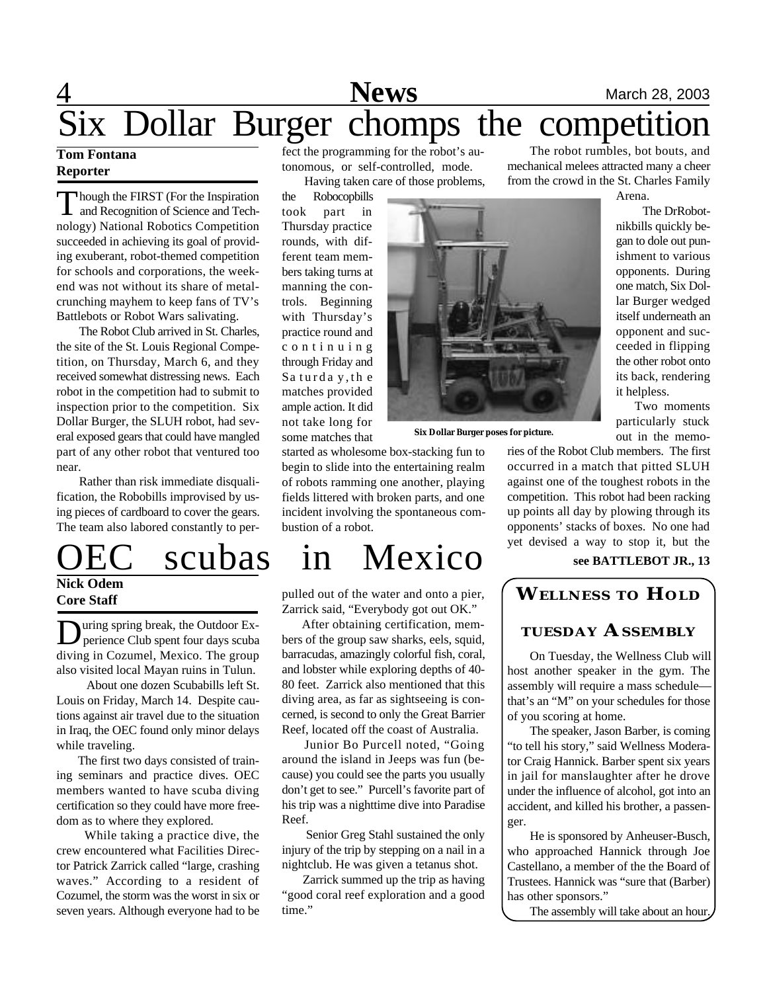# 4 **News** March 28, 2003 Six Dollar Burger chomps the competition

### **Tom Fontana Reporter**

Though the FIRST (For the Inspiration<br>and Recognition of Science and Tech-<br>nology) National Robotics Competition hough the FIRST (For the Inspiration and Recognition of Science and Techsucceeded in achieving its goal of providing exuberant, robot-themed competition for schools and corporations, the weekend was not without its share of metalcrunching mayhem to keep fans of TV's Battlebots or Robot Wars salivating.

The Robot Club arrived in St. Charles, the site of the St. Louis Regional Competition, on Thursday, March 6, and they received somewhat distressing news. Each robot in the competition had to submit to inspection prior to the competition. Six Dollar Burger, the SLUH robot, had several exposed gears that could have mangled part of any other robot that ventured too near.

Rather than risk immediate disqualification, the Robobills improvised by using pieces of cardboard to cover the gears. The team also labored constantly to per-

# **Nick Odem Core Staff**

**D** uring spring break, the Outdoor Exuring spring break, the Outdoor Exdiving in Cozumel, Mexico. The group also visited local Mayan ruins in Tulun.

 About one dozen Scubabills left St. Louis on Friday, March 14. Despite cautions against air travel due to the situation in Iraq, the OEC found only minor delays while traveling.

 The first two days consisted of training seminars and practice dives. OEC members wanted to have scuba diving certification so they could have more freedom as to where they explored.

 While taking a practice dive, the crew encountered what Facilities Director Patrick Zarrick called "large, crashing waves." According to a resident of Cozumel, the storm was the worst in six or seven years. Although everyone had to be fect the programming for the robot's autonomous, or self-controlled, mode. Having taken care of those problems,

the Robocopbills took part in Thursday practice rounds, with different team members taking turns at manning the controls. Beginning with Thursday's practice round and c o n t i n u i n g through Friday and Sa turda y,th e matches provided ample action. It did not take long for some matches that



**Six Dollar Burger poses for picture.**

started as wholesome box-stacking fun to begin to slide into the entertaining realm of robots ramming one another, playing fields littered with broken parts, and one incident involving the spontaneous combustion of a robot.

# scubas in Mexico

pulled out of the water and onto a pier, Zarrick said, "Everybody got out OK."

 After obtaining certification, members of the group saw sharks, eels, squid, barracudas, amazingly colorful fish, coral, and lobster while exploring depths of 40- 80 feet. Zarrick also mentioned that this diving area, as far as sightseeing is concerned, is second to only the Great Barrier Reef, located off the coast of Australia.

 Junior Bo Purcell noted, "Going around the island in Jeeps was fun (because) you could see the parts you usually don't get to see." Purcell's favorite part of his trip was a nighttime dive into Paradise Reef.

 Senior Greg Stahl sustained the only injury of the trip by stepping on a nail in a nightclub. He was given a tetanus shot.

 Zarrick summed up the trip as having "good coral reef exploration and a good time."

The robot rumbles, bot bouts, and mechanical melees attracted many a cheer from the crowd in the St. Charles Family

Arena.

The DrRobot-

nikbills quickly began to dole out punishment to various opponents. During one match, Six Dollar Burger wedged itself underneath an opponent and succeeded in flipping the other robot onto its back, rendering

> Two moments particularly stuck out in the memo-

it helpless.

ries of the Robot Club members. The first occurred in a match that pitted SLUH against one of the toughest robots in the competition. This robot had been racking up points all day by plowing through its opponents' stacks of boxes. No one had yet devised a way to stop it, but the

### **see BATTLEBOT JR., 13**

### **WELLNESS TO HOLD**

### **TUESDAY ASSEMBLY**

On Tuesday, the Wellness Club will host another speaker in the gym. The assembly will require a mass schedule that's an "M" on your schedules for those of you scoring at home.

The speaker, Jason Barber, is coming "to tell his story," said Wellness Moderator Craig Hannick. Barber spent six years in jail for manslaughter after he drove under the influence of alcohol, got into an accident, and killed his brother, a passenger.

He is sponsored by Anheuser-Busch, who approached Hannick through Joe Castellano, a member of the the Board of Trustees. Hannick was "sure that (Barber) has other sponsors."

The assembly will take about an hour.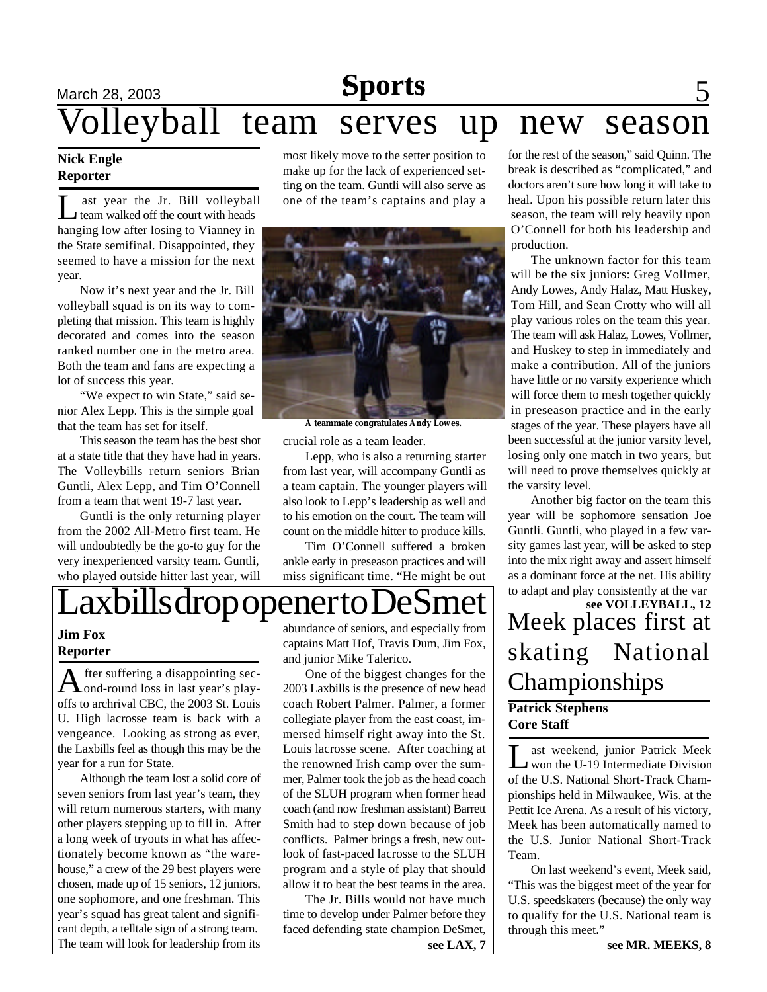### **March 28, 2003 Sports** 5 **Sports**

# Volleyball team serves up new season

### **Nick Engle Reporter**

Let the State of the State of the court with heads<br>the court with heads ast year the Jr. Bill volleyball hanging low after losing to Vianney in the State semifinal. Disappointed, they seemed to have a mission for the next year.

Now it's next year and the Jr. Bill volleyball squad is on its way to completing that mission. This team is highly decorated and comes into the season ranked number one in the metro area. Both the team and fans are expecting a lot of success this year.

"We expect to win State," said senior Alex Lepp. This is the simple goal that the team has set for itself.

This season the team has the best shot at a state title that they have had in years. The Volleybills return seniors Brian Guntli, Alex Lepp, and Tim O'Connell from a team that went 19-7 last year.

Guntli is the only returning player from the 2002 All-Metro first team. He will undoubtedly be the go-to guy for the very inexperienced varsity team. Guntli, who played outside hitter last year, will

most likely move to the setter position to make up for the lack of experienced setting on the team. Guntli will also serve as one of the team's captains and play a



**A teammate congratulates Andy Lowes.**

crucial role as a team leader.

Lepp, who is also a returning starter from last year, will accompany Guntli as a team captain. The younger players will also look to Lepp's leadership as well and to his emotion on the court. The team will count on the middle hitter to produce kills.

Tim O'Connell suffered a broken ankle early in preseason practices and will miss significant time. "He might be out for the rest of the season," said Quinn. The break is described as "complicated," and doctors aren't sure how long it will take to heal. Upon his possible return later this season, the team will rely heavily upon O'Connell for both his leadership and production.

The unknown factor for this team will be the six juniors: Greg Vollmer, Andy Lowes, Andy Halaz, Matt Huskey, Tom Hill, and Sean Crotty who will all play various roles on the team this year. The team will ask Halaz, Lowes, Vollmer, and Huskey to step in immediately and make a contribution. All of the juniors have little or no varsity experience which will force them to mesh together quickly in preseason practice and in the early stages of the year. These players have all been successful at the junior varsity level, losing only one match in two years, but will need to prove themselves quickly at the varsity level.

Another big factor on the team this year will be sophomore sensation Joe Guntli. Guntli, who played in a few varsity games last year, will be asked to step into the mix right away and assert himself as a dominant force at the net. His ability

## **Patrick Stephens Core Staff** skating National Championships **see VOLLEYBALL, 12**

Let weekend, junior Patrick Meek<br>won the U-19 Intermediate Division<br>of the U.S. National Short-Track Chamast weekend, junior Patrick Meek won the U-19 Intermediate Division pionships held in Milwaukee, Wis. at the Pettit Ice Arena. As a result of his victory, Meek has been automatically named to the U.S. Junior National Short-Track Team.

On last weekend's event, Meek said, "This was the biggest meet of the year for U.S. speedskaters (because) the only way to qualify for the U.S. National team is through this meet."

# $\frac{ax}{bills drop openerto Desmeter$  to adapt and play consistently at the var see VOLLEYBALL, 12

### **Jim Fox Reporter**

A fter suffering a disappointing sec-<br>and-round loss in last year's playfter suffering a disappointing secoffs to archrival CBC, the 2003 St. Louis U. High lacrosse team is back with a vengeance. Looking as strong as ever, the Laxbills feel as though this may be the year for a run for State.

Although the team lost a solid core of seven seniors from last year's team, they will return numerous starters, with many other players stepping up to fill in. After a long week of tryouts in what has affectionately become known as "the warehouse," a crew of the 29 best players were chosen, made up of 15 seniors, 12 juniors, one sophomore, and one freshman. This year's squad has great talent and significant depth, a telltale sign of a strong team. The team will look for leadership from its

abundance of seniors, and especially from captains Matt Hof, Travis Dum, Jim Fox, and junior Mike Talerico.

One of the biggest changes for the 2003 Laxbills is the presence of new head coach Robert Palmer. Palmer, a former collegiate player from the east coast, immersed himself right away into the St. Louis lacrosse scene. After coaching at the renowned Irish camp over the summer, Palmer took the job as the head coach of the SLUH program when former head coach (and now freshman assistant) Barrett Smith had to step down because of job conflicts. Palmer brings a fresh, new outlook of fast-paced lacrosse to the SLUH program and a style of play that should allow it to beat the best teams in the area.

The Jr. Bills would not have much time to develop under Palmer before they faced defending state champion DeSmet,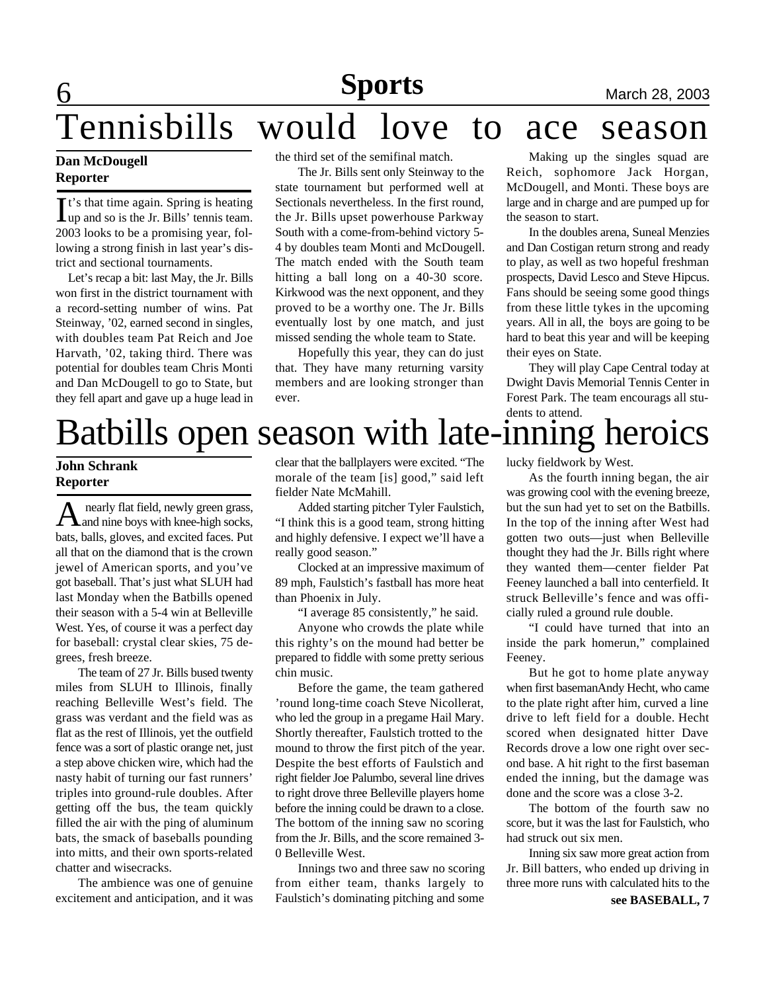# Tennisbills would love to ace season

### **Dan McDougell Reporter**

It's that time again. Spring is heating<br>lup and so is the Jr. Bills' tennis team. up and so is the Jr. Bills' tennis team. 2003 looks to be a promising year, following a strong finish in last year's district and sectional tournaments.

Let's recap a bit: last May, the Jr. Bills won first in the district tournament with a record-setting number of wins. Pat Steinway, '02, earned second in singles, with doubles team Pat Reich and Joe Harvath, '02, taking third. There was potential for doubles team Chris Monti and Dan McDougell to go to State, but they fell apart and gave up a huge lead in the third set of the semifinal match.

The Jr. Bills sent only Steinway to the state tournament but performed well at Sectionals nevertheless. In the first round, the Jr. Bills upset powerhouse Parkway South with a come-from-behind victory 5- 4 by doubles team Monti and McDougell. The match ended with the South team hitting a ball long on a 40-30 score. Kirkwood was the next opponent, and they proved to be a worthy one. The Jr. Bills eventually lost by one match, and just missed sending the whole team to State.

Hopefully this year, they can do just that. They have many returning varsity members and are looking stronger than ever.

Making up the singles squad are Reich, sophomore Jack Horgan, McDougell, and Monti. These boys are large and in charge and are pumped up for the season to start.

In the doubles arena, Suneal Menzies and Dan Costigan return strong and ready to play, as well as two hopeful freshman prospects, David Lesco and Steve Hipcus. Fans should be seeing some good things from these little tykes in the upcoming years. All in all, the boys are going to be hard to beat this year and will be keeping their eyes on State.

They will play Cape Central today at Dwight Davis Memorial Tennis Center in Forest Park. The team encourags all students to attend.

# Batbills open season with late-inning heroics

### **John Schrank Reporter**

A nearly flat field, newly green grass,<br>and nine boys with knee-high socks, nearly flat field, newly green grass, bats, balls, gloves, and excited faces. Put all that on the diamond that is the crown jewel of American sports, and you've got baseball. That's just what SLUH had last Monday when the Batbills opened their season with a 5-4 win at Belleville West. Yes, of course it was a perfect day for baseball: crystal clear skies, 75 degrees, fresh breeze.

The team of 27 Jr. Bills bused twenty miles from SLUH to Illinois, finally reaching Belleville West's field. The grass was verdant and the field was as flat as the rest of Illinois, yet the outfield fence was a sort of plastic orange net, just a step above chicken wire, which had the nasty habit of turning our fast runners' triples into ground-rule doubles. After getting off the bus, the team quickly filled the air with the ping of aluminum bats, the smack of baseballs pounding into mitts, and their own sports-related chatter and wisecracks.

The ambience was one of genuine excitement and anticipation, and it was

clear that the ballplayers were excited. "The morale of the team [is] good," said left fielder Nate McMahill.

Added starting pitcher Tyler Faulstich, "I think this is a good team, strong hitting and highly defensive. I expect we'll have a really good season."

Clocked at an impressive maximum of 89 mph, Faulstich's fastball has more heat than Phoenix in July.

"I average 85 consistently," he said.

Anyone who crowds the plate while this righty's on the mound had better be prepared to fiddle with some pretty serious chin music.

Before the game, the team gathered 'round long-time coach Steve Nicollerat, who led the group in a pregame Hail Mary. Shortly thereafter, Faulstich trotted to the mound to throw the first pitch of the year. Despite the best efforts of Faulstich and right fielder Joe Palumbo, several line drives to right drove three Belleville players home before the inning could be drawn to a close. The bottom of the inning saw no scoring from the Jr. Bills, and the score remained 3- 0 Belleville West.

Innings two and three saw no scoring from either team, thanks largely to Faulstich's dominating pitching and some

lucky fieldwork by West.

As the fourth inning began, the air was growing cool with the evening breeze, but the sun had yet to set on the Batbills. In the top of the inning after West had gotten two outs—just when Belleville thought they had the Jr. Bills right where they wanted them—center fielder Pat Feeney launched a ball into centerfield. It struck Belleville's fence and was officially ruled a ground rule double.

"I could have turned that into an inside the park homerun," complained Feeney.

But he got to home plate anyway when first basemanAndy Hecht, who came to the plate right after him, curved a line drive to left field for a double. Hecht scored when designated hitter Dave Records drove a low one right over second base. A hit right to the first baseman ended the inning, but the damage was done and the score was a close 3-2.

The bottom of the fourth saw no score, but it was the last for Faulstich, who had struck out six men.

Inning six saw more great action from Jr. Bill batters, who ended up driving in three more runs with calculated hits to the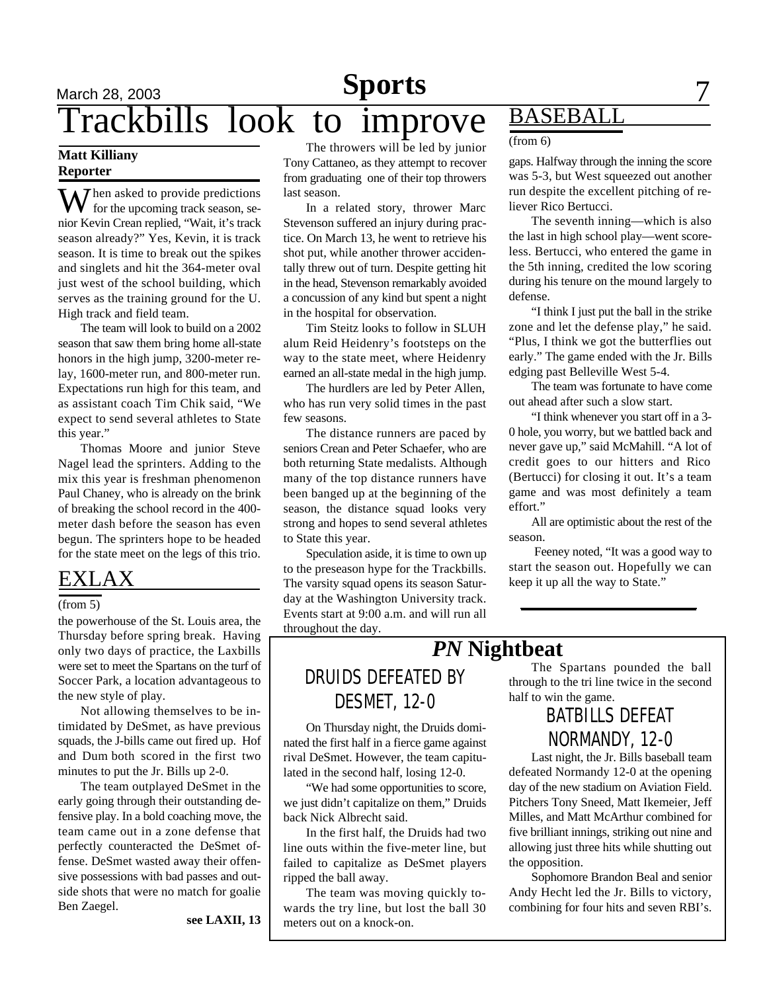## March 28, 2003 **Sports** 7 Trackbills look to improve **Sports**

### **Matt Killiany Reporter**

 $\sum$  hen asked to provide predictions for the upcoming track season, senior Kevin Crean replied, "Wait, it's track season already?" Yes, Kevin, it is track season. It is time to break out the spikes and singlets and hit the 364-meter oval just west of the school building, which serves as the training ground for the U. High track and field team.

The team will look to build on a 2002 season that saw them bring home all-state honors in the high jump, 3200-meter relay, 1600-meter run, and 800-meter run. Expectations run high for this team, and as assistant coach Tim Chik said, "We expect to send several athletes to State this year."

Thomas Moore and junior Steve Nagel lead the sprinters. Adding to the mix this year is freshman phenomenon Paul Chaney, who is already on the brink of breaking the school record in the 400 meter dash before the season has even begun. The sprinters hope to be headed for the state meet on the legs of this trio.

### EXLAX

### (from 5)

the powerhouse of the St. Louis area, the Thursday before spring break. Having only two days of practice, the Laxbills were set to meet the Spartans on the turf of Soccer Park, a location advantageous to the new style of play.

Not allowing themselves to be intimidated by DeSmet, as have previous squads, the J-bills came out fired up. Hof and Dum both scored in the first two minutes to put the Jr. Bills up 2-0.

The team outplayed DeSmet in the early going through their outstanding defensive play. In a bold coaching move, the team came out in a zone defense that perfectly counteracted the DeSmet offense. DeSmet wasted away their offensive possessions with bad passes and outside shots that were no match for goalie Ben Zaegel.

**see LAXII, 13**

The throwers will be led by junior Tony Cattaneo, as they attempt to recover from graduating one of their top throwers last season.

In a related story, thrower Marc Stevenson suffered an injury during practice. On March 13, he went to retrieve his shot put, while another thrower accidentally threw out of turn. Despite getting hit in the head, Stevenson remarkably avoided a concussion of any kind but spent a night in the hospital for observation.

Tim Steitz looks to follow in SLUH alum Reid Heidenry's footsteps on the way to the state meet, where Heidenry earned an all-state medal in the high jump.

The hurdlers are led by Peter Allen, who has run very solid times in the past few seasons.

The distance runners are paced by seniors Crean and Peter Schaefer, who are both returning State medalists. Although many of the top distance runners have been banged up at the beginning of the season, the distance squad looks very strong and hopes to send several athletes to State this year.

Speculation aside, it is time to own up to the preseason hype for the Trackbills. The varsity squad opens its season Saturday at the Washington University track. Events start at 9:00 a.m. and will run all throughout the day.

## **BASEBALI**

### (from 6)

gaps. Halfway through the inning the score was 5-3, but West squeezed out another run despite the excellent pitching of reliever Rico Bertucci.

The seventh inning—which is also the last in high school play—went scoreless. Bertucci, who entered the game in the 5th inning, credited the low scoring during his tenure on the mound largely to defense.

"I think I just put the ball in the strike zone and let the defense play," he said. "Plus, I think we got the butterflies out early." The game ended with the Jr. Bills edging past Belleville West 5-4.

The team was fortunate to have come out ahead after such a slow start.

"I think whenever you start off in a 3- 0 hole, you worry, but we battled back and never gave up," said McMahill. "A lot of credit goes to our hitters and Rico (Bertucci) for closing it out. It's a team game and was most definitely a team effort."

All are optimistic about the rest of the season.

 Feeney noted, "It was a good way to start the season out. Hopefully we can keep it up all the way to State."

## *PN* **Nightbeat**

## DRUIDS DEFEATED BY DESMET, 12-0

On Thursday night, the Druids dominated the first half in a fierce game against rival DeSmet. However, the team capitulated in the second half, losing 12-0.

"We had some opportunities to score, we just didn't capitalize on them," Druids back Nick Albrecht said.

In the first half, the Druids had two line outs within the five-meter line, but failed to capitalize as DeSmet players ripped the ball away.

The team was moving quickly towards the try line, but lost the ball 30 meters out on a knock-on.

The Spartans pounded the ball through to the tri line twice in the second half to win the game.

### BATBILLS DEFEAT NORMANDY, 12-0

Last night, the Jr. Bills baseball team defeated Normandy 12-0 at the opening day of the new stadium on Aviation Field. Pitchers Tony Sneed, Matt Ikemeier, Jeff Milles, and Matt McArthur combined for five brilliant innings, striking out nine and allowing just three hits while shutting out the opposition.

Sophomore Brandon Beal and senior Andy Hecht led the Jr. Bills to victory, combining for four hits and seven RBI's.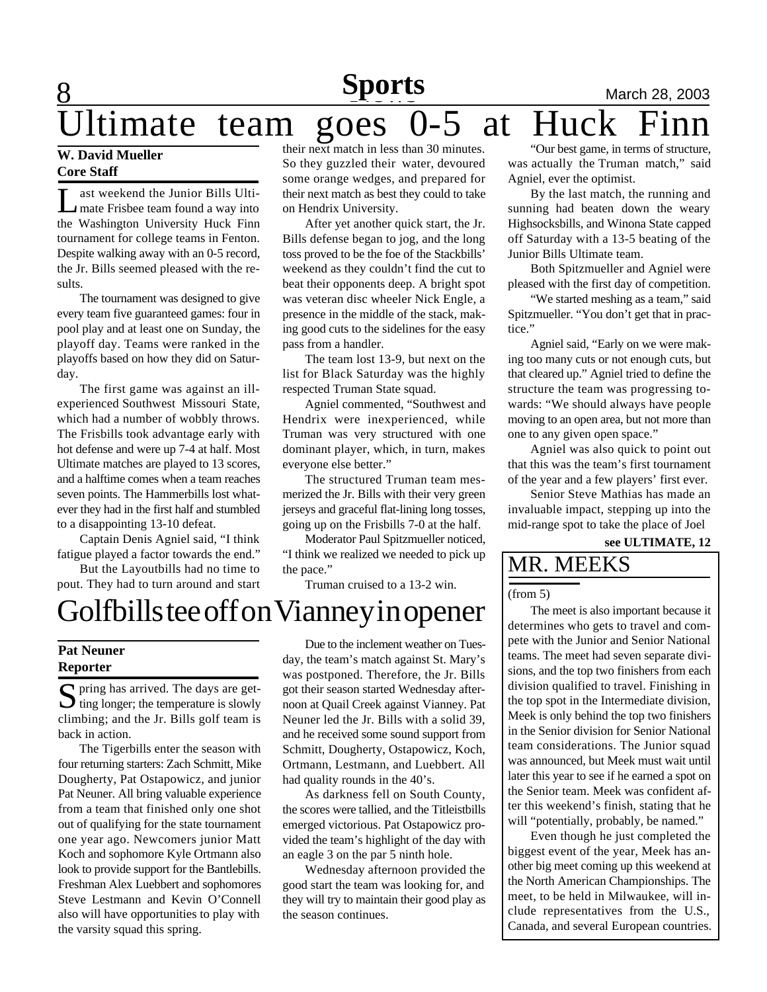# **Sports**

**8 News News News March 28, 2003** Itimate team goes  $0-5$  at Huck their next match in less than 30 minutes.

### **W. David Mueller Core Staff**

Let a veekend the Junior Bills Ulti-<br>mate Frisbee team found a way into ast weekend the Junior Bills Ultithe Washington University Huck Finn tournament for college teams in Fenton. Despite walking away with an 0-5 record, the Jr. Bills seemed pleased with the results.

The tournament was designed to give every team five guaranteed games: four in pool play and at least one on Sunday, the playoff day. Teams were ranked in the playoffs based on how they did on Saturday.

The first game was against an illexperienced Southwest Missouri State, which had a number of wobbly throws. The Frisbills took advantage early with hot defense and were up 7-4 at half. Most Ultimate matches are played to 13 scores, and a halftime comes when a team reaches seven points. The Hammerbills lost whatever they had in the first half and stumbled to a disappointing 13-10 defeat.

Captain Denis Agniel said, "I think fatigue played a factor towards the end."

But the Layoutbills had no time to pout. They had to turn around and start So they guzzled their water, devoured some orange wedges, and prepared for their next match as best they could to take on Hendrix University.

After yet another quick start, the Jr. Bills defense began to jog, and the long toss proved to be the foe of the Stackbills' weekend as they couldn't find the cut to beat their opponents deep. A bright spot was veteran disc wheeler Nick Engle, a presence in the middle of the stack, making good cuts to the sidelines for the easy pass from a handler.

The team lost 13-9, but next on the list for Black Saturday was the highly respected Truman State squad.

Agniel commented, "Southwest and Hendrix were inexperienced, while Truman was very structured with one dominant player, which, in turn, makes everyone else better."

The structured Truman team mesmerized the Jr. Bills with their very green jerseys and graceful flat-lining long tosses, going up on the Frisbills 7-0 at the half.

Moderator Paul Spitzmueller noticed, "I think we realized we needed to pick up the pace."

Truman cruised to a 13-2 win.

# Golfbills tee off on Vianney in opener

### **Pat Neuner Reporter**

 $S$  pring has arrived. The days are get-<br>ing longer; the temperature is slowly  $\bigcup$  ting longer; the temperature is slowly climbing; and the Jr. Bills golf team is back in action.

The Tigerbills enter the season with four returning starters: Zach Schmitt, Mike Dougherty, Pat Ostapowicz, and junior Pat Neuner. All bring valuable experience from a team that finished only one shot out of qualifying for the state tournament one year ago. Newcomers junior Matt Koch and sophomore Kyle Ortmann also look to provide support for the Bantlebills. Freshman Alex Luebbert and sophomores Steve Lestmann and Kevin O'Connell also will have opportunities to play with the varsity squad this spring.

Due to the inclement weather on Tuesday, the team's match against St. Mary's was postponed. Therefore, the Jr. Bills got their season started Wednesday afternoon at Quail Creek against Vianney. Pat Neuner led the Jr. Bills with a solid 39, and he received some sound support from Schmitt, Dougherty, Ostapowicz, Koch, Ortmann, Lestmann, and Luebbert. All had quality rounds in the 40's.

As darkness fell on South County, the scores were tallied, and the Titleistbills emerged victorious. Pat Ostapowicz provided the team's highlight of the day with an eagle 3 on the par 5 ninth hole.

Wednesday afternoon provided the good start the team was looking for, and they will try to maintain their good play as the season continues.

"Our best game, in terms of structure, was actually the Truman match," said Agniel, ever the optimist.

By the last match, the running and sunning had beaten down the weary Highsocksbills, and Winona State capped off Saturday with a 13-5 beating of the Junior Bills Ultimate team.

Both Spitzmueller and Agniel were pleased with the first day of competition.

"We started meshing as a team," said Spitzmueller. "You don't get that in practice."

Agniel said, "Early on we were making too many cuts or not enough cuts, but that cleared up." Agniel tried to define the structure the team was progressing towards: "We should always have people moving to an open area, but not more than one to any given open space."

Agniel was also quick to point out that this was the team's first tournament of the year and a few players' first ever.

Senior Steve Mathias has made an invaluable impact, stepping up into the mid-range spot to take the place of Joel

**see ULTIMATE, 12**

### MR. MEEKS

#### (from 5)

The meet is also important because it determines who gets to travel and compete with the Junior and Senior National teams. The meet had seven separate divisions, and the top two finishers from each division qualified to travel. Finishing in the top spot in the Intermediate division, Meek is only behind the top two finishers in the Senior division for Senior National team considerations. The Junior squad was announced, but Meek must wait until later this year to see if he earned a spot on the Senior team. Meek was confident after this weekend's finish, stating that he will "potentially, probably, be named."

Even though he just completed the biggest event of the year, Meek has another big meet coming up this weekend at the North American Championships. The meet, to be held in Milwaukee, will include representatives from the U.S., Canada, and several European countries.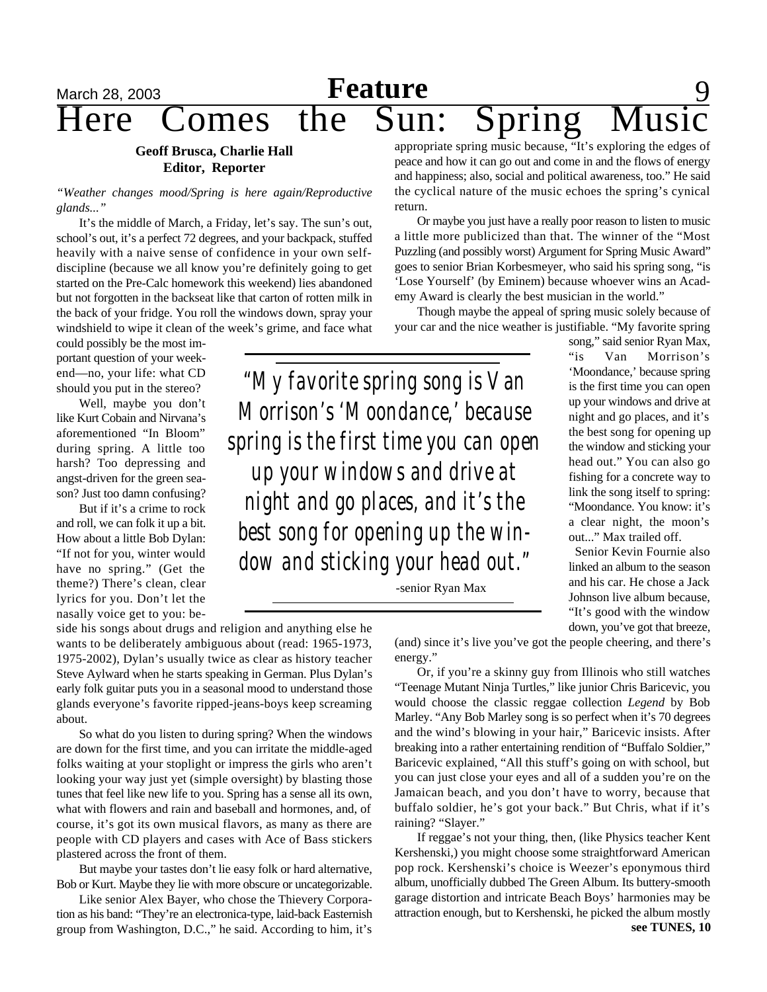# March 28, 2003 **Feature** 9 Here Comes the Sun: Spring

### **Geoff Brusca, Charlie Hall Editor, Reporter**

*"Weather changes mood/Spring is here again/Reproductive glands..."*

It's the middle of March, a Friday, let's say. The sun's out, school's out, it's a perfect 72 degrees, and your backpack, stuffed heavily with a naive sense of confidence in your own selfdiscipline (because we all know you're definitely going to get started on the Pre-Calc homework this weekend) lies abandoned but not forgotten in the backseat like that carton of rotten milk in the back of your fridge. You roll the windows down, spray your windshield to wipe it clean of the week's grime, and face what

could possibly be the most important question of your weekend—no, your life: what CD should you put in the stereo?

Well, maybe you don't like Kurt Cobain and Nirvana's aforementioned "In Bloom" during spring. A little too harsh? Too depressing and angst-driven for the green season? Just too damn confusing?

But if it's a crime to rock and roll, we can folk it up a bit. How about a little Bob Dylan: "If not for you, winter would have no spring." (Get the theme?) There's clean, clear lyrics for you. Don't let the nasally voice get to you: be-

side his songs about drugs and religion and anything else he wants to be deliberately ambiguous about (read: 1965-1973, 1975-2002), Dylan's usually twice as clear as history teacher Steve Aylward when he starts speaking in German. Plus Dylan's early folk guitar puts you in a seasonal mood to understand those glands everyone's favorite ripped-jeans-boys keep screaming about.

So what do you listen to during spring? When the windows are down for the first time, and you can irritate the middle-aged folks waiting at your stoplight or impress the girls who aren't looking your way just yet (simple oversight) by blasting those tunes that feel like new life to you. Spring has a sense all its own, what with flowers and rain and baseball and hormones, and, of course, it's got its own musical flavors, as many as there are people with CD players and cases with Ace of Bass stickers plastered across the front of them.

But maybe your tastes don't lie easy folk or hard alternative, Bob or Kurt. Maybe they lie with more obscure or uncategorizable.

Like senior Alex Bayer, who chose the Thievery Corporation as his band: "They're an electronica-type, laid-back Easternish group from Washington, D.C.," he said. According to him, it's appropriate spring music because, "It's exploring the edges of peace and how it can go out and come in and the flows of energy and happiness; also, social and political awareness, too." He said the cyclical nature of the music echoes the spring's cynical return.

Or maybe you just have a really poor reason to listen to music a little more publicized than that. The winner of the "Most Puzzling (and possibly worst) Argument for Spring Music Award" goes to senior Brian Korbesmeyer, who said his spring song, "is 'Lose Yourself' (by Eminem) because whoever wins an Academy Award is clearly the best musician in the world."

Though maybe the appeal of spring music solely because of your car and the nice weather is justifiable. "My favorite spring

*"My favorite spring song is Van Morrison's 'Moondance,' because spring is the first time you can open up your windows and drive at night and go places, and it's the best song for opening up the window and sticking your head out."*

-senior Ryan Max

song," said senior Ryan Max, "is Van Morrison's 'Moondance,' because spring is the first time you can open up your windows and drive at night and go places, and it's the best song for opening up the window and sticking your head out." You can also go fishing for a concrete way to link the song itself to spring: "Moondance. You know: it's a clear night, the moon's out..." Max trailed off.

Senior Kevin Fournie also linked an album to the season and his car. He chose a Jack Johnson live album because, "It's good with the window down, you've got that breeze,

(and) since it's live you've got the people cheering, and there's energy."

Or, if you're a skinny guy from Illinois who still watches "Teenage Mutant Ninja Turtles," like junior Chris Baricevic, you would choose the classic reggae collection *Legend* by Bob Marley. "Any Bob Marley song is so perfect when it's 70 degrees and the wind's blowing in your hair," Baricevic insists. After breaking into a rather entertaining rendition of "Buffalo Soldier," Baricevic explained, "All this stuff's going on with school, but you can just close your eyes and all of a sudden you're on the Jamaican beach, and you don't have to worry, because that buffalo soldier, he's got your back." But Chris, what if it's raining? "Slayer."

If reggae's not your thing, then, (like Physics teacher Kent Kershenski,) you might choose some straightforward American pop rock. Kershenski's choice is Weezer's eponymous third album, unofficially dubbed The Green Album. Its buttery-smooth garage distortion and intricate Beach Boys' harmonies may be attraction enough, but to Kershenski, he picked the album mostly **see TUNES, 10**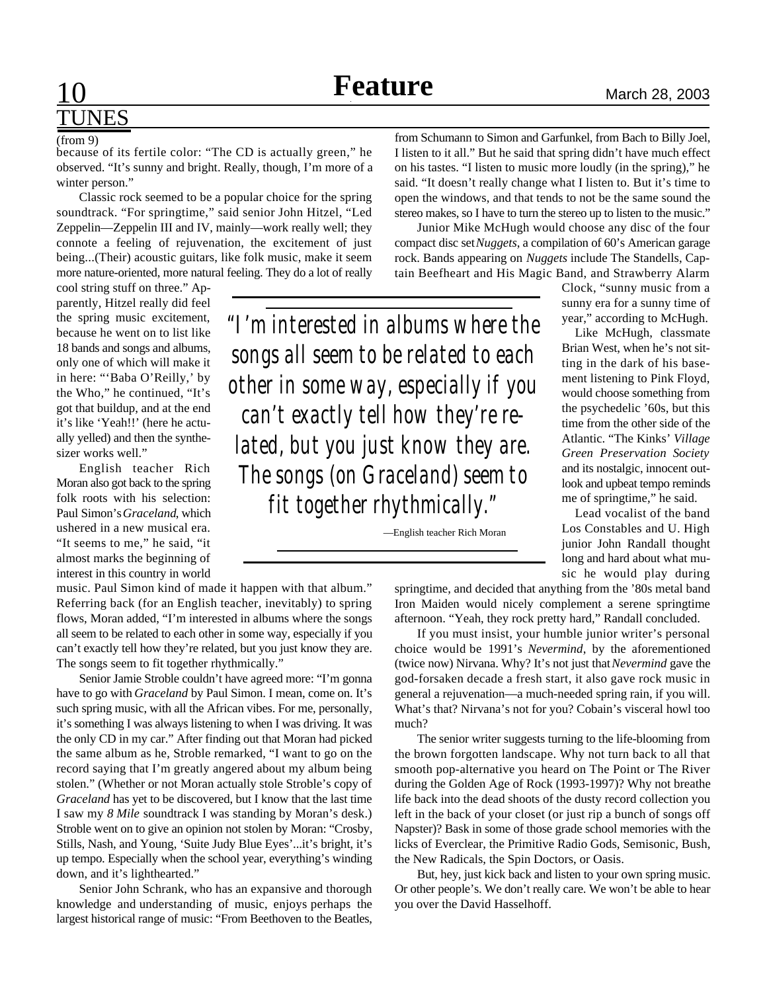# TUNES

#### (from 9)

because of its fertile color: "The CD is actually green," he observed. "It's sunny and bright. Really, though, I'm more of a winter person."

Classic rock seemed to be a popular choice for the spring soundtrack. "For springtime," said senior John Hitzel, "Led Zeppelin—Zeppelin III and IV, mainly—work really well; they connote a feeling of rejuvenation, the excitement of just being...(Their) acoustic guitars, like folk music, make it seem more nature-oriented, more natural feeling. They do a lot of really

cool string stuff on three." Apparently, Hitzel really did feel the spring music excitement, because he went on to list like 18 bands and songs and albums, only one of which will make it in here: "'Baba O'Reilly,' by the Who," he continued, "It's got that buildup, and at the end it's like 'Yeah!!' (here he actually yelled) and then the synthesizer works well."

English teacher Rich Moran also got back to the spring folk roots with his selection: Paul Simon's *Graceland*, which ushered in a new musical era. "It seems to me," he said, "it almost marks the beginning of interest in this country in world

music. Paul Simon kind of made it happen with that album." Referring back (for an English teacher, inevitably) to spring flows, Moran added, "I'm interested in albums where the songs all seem to be related to each other in some way, especially if you can't exactly tell how they're related, but you just know they are. The songs seem to fit together rhythmically."

Senior Jamie Stroble couldn't have agreed more: "I'm gonna have to go with *Graceland* by Paul Simon. I mean, come on. It's such spring music, with all the African vibes. For me, personally, it's something I was always listening to when I was driving. It was the only CD in my car." After finding out that Moran had picked the same album as he, Stroble remarked, "I want to go on the record saying that I'm greatly angered about my album being stolen." (Whether or not Moran actually stole Stroble's copy of *Graceland* has yet to be discovered, but I know that the last time I saw my *8 Mile* soundtrack I was standing by Moran's desk.) Stroble went on to give an opinion not stolen by Moran: "Crosby, Stills, Nash, and Young, 'Suite Judy Blue Eyes'...it's bright, it's up tempo. Especially when the school year, everything's winding down, and it's lighthearted."

Senior John Schrank, who has an expansive and thorough knowledge and understanding of music, enjoys perhaps the largest historical range of music: "From Beethoven to the Beatles, from Schumann to Simon and Garfunkel, from Bach to Billy Joel, I listen to it all." But he said that spring didn't have much effect on his tastes. "I listen to music more loudly (in the spring)," he said. "It doesn't really change what I listen to. But it's time to open the windows, and that tends to not be the same sound the stereo makes, so I have to turn the stereo up to listen to the music."

Junior Mike McHugh would choose any disc of the four compact disc set *Nuggets*, a compilation of 60's American garage rock. Bands appearing on *Nuggets* include The Standells, Captain Beefheart and His Magic Band, and Strawberry Alarm

Clock, "sunny music from a sunny era for a sunny time of year," according to McHugh.

Like McHugh, classmate Brian West, when he's not sitting in the dark of his basement listening to Pink Floyd, would choose something from the psychedelic '60s, but this time from the other side of the Atlantic. "The Kinks' *Village Green Preservation Society* and its nostalgic, innocent outlook and upbeat tempo reminds me of springtime," he said.

Lead vocalist of the band Los Constables and U. High junior John Randall thought long and hard about what music he would play during

springtime, and decided that anything from the '80s metal band Iron Maiden would nicely complement a serene springtime afternoon. "Yeah, they rock pretty hard," Randall concluded.

If you must insist, your humble junior writer's personal choice would be 1991's *Nevermind*, by the aforementioned (twice now) Nirvana. Why? It's not just that *Nevermind* gave the god-forsaken decade a fresh start, it also gave rock music in general a rejuvenation—a much-needed spring rain, if you will. What's that? Nirvana's not for you? Cobain's visceral howl too much?

The senior writer suggests turning to the life-blooming from the brown forgotten landscape. Why not turn back to all that smooth pop-alternative you heard on The Point or The River during the Golden Age of Rock (1993-1997)? Why not breathe life back into the dead shoots of the dusty record collection you left in the back of your closet (or just rip a bunch of songs off Napster)? Bask in some of those grade school memories with the licks of Everclear, the Primitive Radio Gods, Semisonic, Bush, the New Radicals, the Spin Doctors, or Oasis.

But, hey, just kick back and listen to your own spring music. Or other people's. We don't really care. We won't be able to hear you over the David Hasselhoff.

*"I'm interested in albums where the songs all seem to be related to each other in some way, especially if you can't exactly tell how they're related, but you just know they are. The songs (on Graceland) seem to fit together rhythmically."*

—English teacher Rich Moran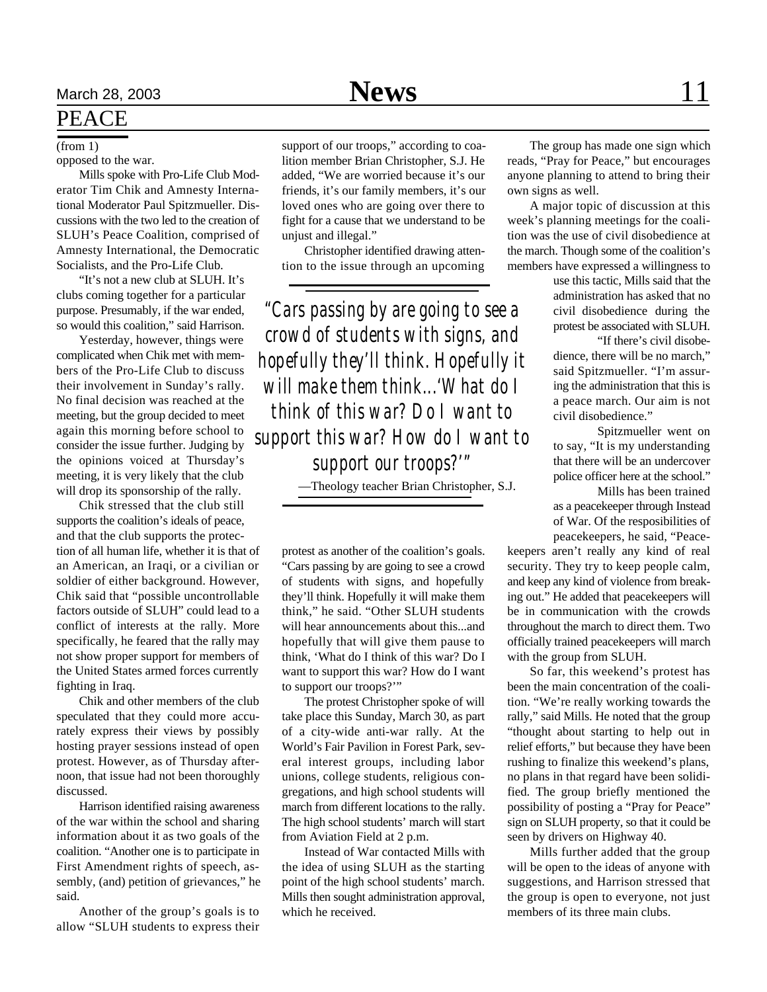### PEACE

#### opposed to the war.

Mills spoke with Pro-Life Club Moderator Tim Chik and Amnesty International Moderator Paul Spitzmueller. Discussions with the two led to the creation of SLUH's Peace Coalition, comprised of Amnesty International, the Democratic Socialists, and the Pro-Life Club.

"It's not a new club at SLUH. It's clubs coming together for a particular purpose. Presumably, if the war ended, so would this coalition," said Harrison.

Yesterday, however, things were complicated when Chik met with members of the Pro-Life Club to discuss their involvement in Sunday's rally. No final decision was reached at the meeting, but the group decided to meet again this morning before school to consider the issue further. Judging by the opinions voiced at Thursday's meeting, it is very likely that the club will drop its sponsorship of the rally.

Chik stressed that the club still supports the coalition's ideals of peace, and that the club supports the protection of all human life, whether it is that of an American, an Iraqi, or a civilian or soldier of either background. However, Chik said that "possible uncontrollable factors outside of SLUH" could lead to a conflict of interests at the rally. More specifically, he feared that the rally may not show proper support for members of the United States armed forces currently fighting in Iraq.

Chik and other members of the club speculated that they could more accurately express their views by possibly hosting prayer sessions instead of open protest. However, as of Thursday afternoon, that issue had not been thoroughly discussed.

Harrison identified raising awareness of the war within the school and sharing information about it as two goals of the coalition. "Another one is to participate in First Amendment rights of speech, assembly, (and) petition of grievances," he said.

Another of the group's goals is to allow "SLUH students to express their

(from 1) support of our troops," according to coalition member Brian Christopher, S.J. He added, "We are worried because it's our friends, it's our family members, it's our loved ones who are going over there to fight for a cause that we understand to be unjust and illegal."

> Christopher identified drawing attention to the issue through an upcoming

*"Cars passing by are going to see a crowd of students with signs, and hopefully they'll think. Hopefully it will make them think...'What do I think of this war? Do I want to support this war? How do I want to support our troops?'"*

—Theology teacher Brian Christopher, S.J.

protest as another of the coalition's goals. "Cars passing by are going to see a crowd of students with signs, and hopefully they'll think. Hopefully it will make them think," he said. "Other SLUH students will hear announcements about this...and hopefully that will give them pause to think, 'What do I think of this war? Do I want to support this war? How do I want to support our troops?""

The protest Christopher spoke of will take place this Sunday, March 30, as part of a city-wide anti-war rally. At the World's Fair Pavilion in Forest Park, several interest groups, including labor unions, college students, religious congregations, and high school students will march from different locations to the rally. The high school students' march will start from Aviation Field at 2 p.m.

Instead of War contacted Mills with the idea of using SLUH as the starting point of the high school students' march. Mills then sought administration approval, which he received.

The group has made one sign which reads, "Pray for Peace," but encourages anyone planning to attend to bring their own signs as well.

A major topic of discussion at this week's planning meetings for the coalition was the use of civil disobedience at the march. Though some of the coalition's members have expressed a willingness to

> use this tactic, Mills said that the administration has asked that no civil disobedience during the protest be associated with SLUH.

> "If there's civil disobedience, there will be no march," said Spitzmueller. "I'm assuring the administration that this is a peace march. Our aim is not civil disobedience."

> Spitzmueller went on to say, "It is my understanding that there will be an undercover police officer here at the school."

> Mills has been trained as a peacekeeper through Instead of War. Of the resposibilities of peacekeepers, he said, "Peace-

keepers aren't really any kind of real security. They try to keep people calm, and keep any kind of violence from breaking out." He added that peacekeepers will be in communication with the crowds throughout the march to direct them. Two officially trained peacekeepers will march with the group from SLUH.

So far, this weekend's protest has been the main concentration of the coalition. "We're really working towards the rally," said Mills. He noted that the group "thought about starting to help out in relief efforts," but because they have been rushing to finalize this weekend's plans, no plans in that regard have been solidified. The group briefly mentioned the possibility of posting a "Pray for Peace" sign on SLUH property, so that it could be seen by drivers on Highway 40.

Mills further added that the group will be open to the ideas of anyone with suggestions, and Harrison stressed that the group is open to everyone, not just members of its three main clubs.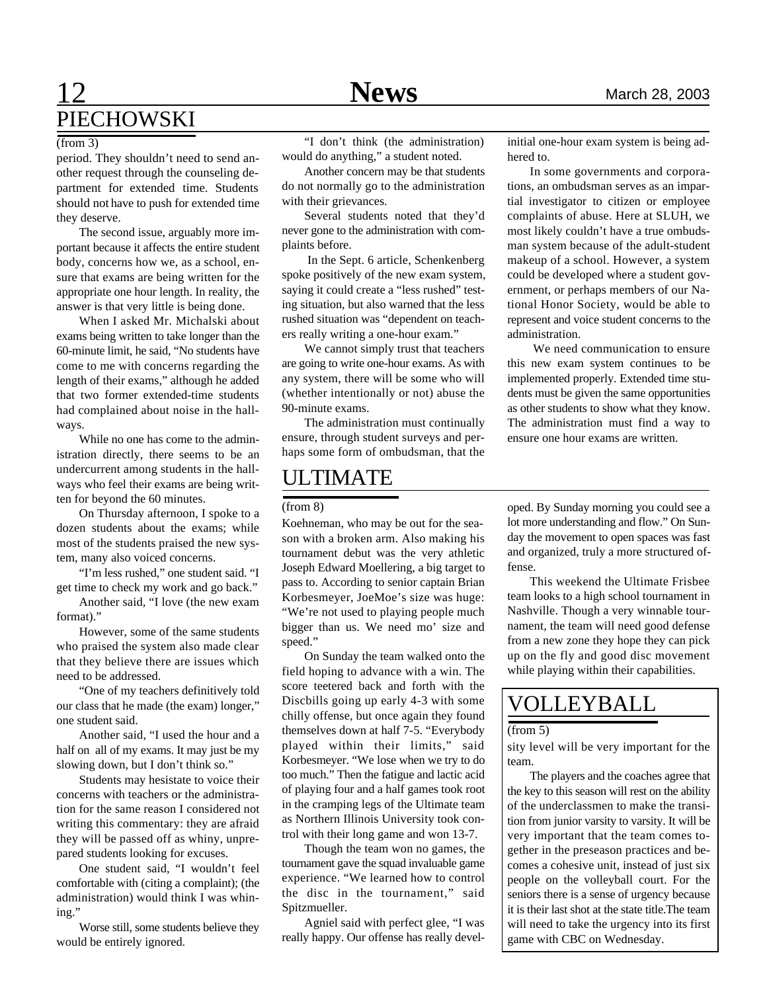# **12 News** March 28, 2003 PIECHOWSKI

period. They shouldn't need to send another request through the counseling department for extended time. Students should not have to push for extended time they deserve.

The second issue, arguably more important because it affects the entire student body, concerns how we, as a school, ensure that exams are being written for the appropriate one hour length. In reality, the answer is that very little is being done.

When I asked Mr. Michalski about exams being written to take longer than the 60-minute limit, he said, "No students have come to me with concerns regarding the length of their exams," although he added that two former extended-time students had complained about noise in the hallways.

While no one has come to the administration directly, there seems to be an undercurrent among students in the hallways who feel their exams are being written for beyond the 60 minutes.

On Thursday afternoon, I spoke to a dozen students about the exams; while most of the students praised the new system, many also voiced concerns.

"I'm less rushed," one student said. "I get time to check my work and go back."

Another said, "I love (the new exam format)."

However, some of the same students who praised the system also made clear that they believe there are issues which need to be addressed.

"One of my teachers definitively told our class that he made (the exam) longer," one student said.

Another said, "I used the hour and a half on all of my exams. It may just be my slowing down, but I don't think so."

Students may hesistate to voice their concerns with teachers or the administration for the same reason I considered not writing this commentary: they are afraid they will be passed off as whiny, unprepared students looking for excuses.

One student said, "I wouldn't feel comfortable with (citing a complaint); (the administration) would think I was whining."

Worse still, some students believe they would be entirely ignored.

"I don't think (the administration) would do anything," a student noted.

Another concern may be that students do not normally go to the administration with their grievances.

Several students noted that they'd never gone to the administration with complaints before.

 In the Sept. 6 article, Schenkenberg spoke positively of the new exam system, saying it could create a "less rushed" testing situation, but also warned that the less rushed situation was "dependent on teachers really writing a one-hour exam."

We cannot simply trust that teachers are going to write one-hour exams. As with any system, there will be some who will (whether intentionally or not) abuse the 90-minute exams.

The administration must continually ensure, through student surveys and perhaps some form of ombudsman, that the

## ULTIMATE

Koehneman, who may be out for the season with a broken arm. Also making his tournament debut was the very athletic Joseph Edward Moellering, a big target to pass to. According to senior captain Brian Korbesmeyer, JoeMoe's size was huge: "We're not used to playing people much bigger than us. We need mo' size and speed."

On Sunday the team walked onto the field hoping to advance with a win. The score teetered back and forth with the Discbills going up early 4-3 with some chilly offense, but once again they found themselves down at half 7-5. "Everybody played within their limits," said Korbesmeyer. "We lose when we try to do too much." Then the fatigue and lactic acid of playing four and a half games took root in the cramping legs of the Ultimate team as Northern Illinois University took control with their long game and won 13-7.

Though the team won no games, the tournament gave the squad invaluable game experience. "We learned how to control the disc in the tournament," said Spitzmueller.

Agniel said with perfect glee, "I was really happy. Our offense has really devel-

 $(3)$  **initial one-hour exam system is being ad-**  $(1)$  from 3) **initial one-hour exam system is being ad**hered to.

> In some governments and corporations, an ombudsman serves as an impartial investigator to citizen or employee complaints of abuse. Here at SLUH, we most likely couldn't have a true ombudsman system because of the adult-student makeup of a school. However, a system could be developed where a student government, or perhaps members of our National Honor Society, would be able to represent and voice student concerns to the administration.

> We need communication to ensure this new exam system continues to be implemented properly. Extended time students must be given the same opportunities as other students to show what they know. The administration must find a way to ensure one hour exams are written.

(from 8) oped. By Sunday morning you could see a lot more understanding and flow." On Sunday the movement to open spaces was fast and organized, truly a more structured offense.

> This weekend the Ultimate Frisbee team looks to a high school tournament in Nashville. Though a very winnable tournament, the team will need good defense from a new zone they hope they can pick up on the fly and good disc movement while playing within their capabilities.

### VOLLEYBALL

### (from 5)

sity level will be very important for the team.

The players and the coaches agree that the key to this season will rest on the ability of the underclassmen to make the transition from junior varsity to varsity. It will be very important that the team comes together in the preseason practices and becomes a cohesive unit, instead of just six people on the volleyball court. For the seniors there is a sense of urgency because it is their last shot at the state title.The team will need to take the urgency into its first game with CBC on Wednesday.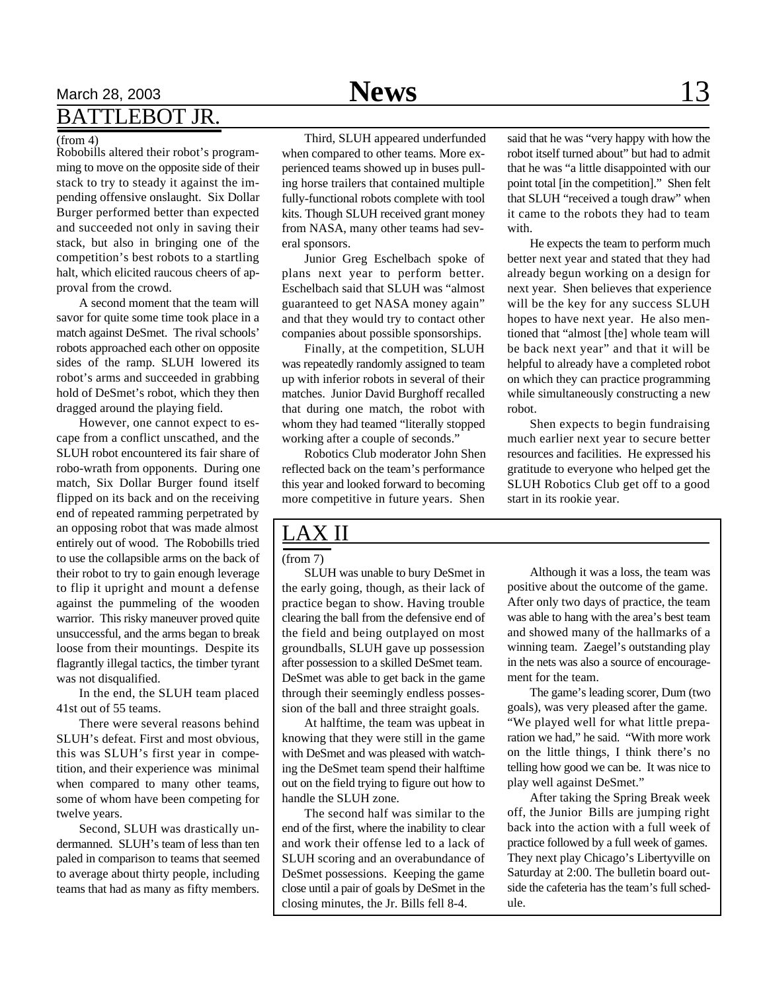## March 28, 2003 **News** 13 BATTLEBOT JR.

Robobills altered their robot's programming to move on the opposite side of their stack to try to steady it against the impending offensive onslaught. Six Dollar Burger performed better than expected and succeeded not only in saving their stack, but also in bringing one of the competition's best robots to a startling halt, which elicited raucous cheers of approval from the crowd.

A second moment that the team will savor for quite some time took place in a match against DeSmet. The rival schools' robots approached each other on opposite sides of the ramp. SLUH lowered its robot's arms and succeeded in grabbing hold of DeSmet's robot, which they then dragged around the playing field.

However, one cannot expect to escape from a conflict unscathed, and the SLUH robot encountered its fair share of robo-wrath from opponents. During one match, Six Dollar Burger found itself flipped on its back and on the receiving end of repeated ramming perpetrated by an opposing robot that was made almost entirely out of wood. The Robobills tried to use the collapsible arms on the back of their robot to try to gain enough leverage to flip it upright and mount a defense against the pummeling of the wooden warrior. This risky maneuver proved quite unsuccessful, and the arms began to break loose from their mountings. Despite its flagrantly illegal tactics, the timber tyrant was not disqualified.

In the end, the SLUH team placed 41st out of 55 teams.

There were several reasons behind SLUH's defeat. First and most obvious, this was SLUH's first year in competition, and their experience was minimal when compared to many other teams, some of whom have been competing for twelve years.

Second, SLUH was drastically undermanned. SLUH's team of less than ten paled in comparison to teams that seemed to average about thirty people, including teams that had as many as fifty members.

(from 4) Third, SLUH appeared underfunded when compared to other teams. More experienced teams showed up in buses pulling horse trailers that contained multiple fully-functional robots complete with tool kits. Though SLUH received grant money from NASA, many other teams had several sponsors.

> Junior Greg Eschelbach spoke of plans next year to perform better. Eschelbach said that SLUH was "almost guaranteed to get NASA money again" and that they would try to contact other companies about possible sponsorships.

> Finally, at the competition, SLUH was repeatedly randomly assigned to team up with inferior robots in several of their matches. Junior David Burghoff recalled that during one match, the robot with whom they had teamed "literally stopped working after a couple of seconds."

Robotics Club moderator John Shen reflected back on the team's performance this year and looked forward to becoming more competitive in future years. Shen

said that he was "very happy with how the robot itself turned about" but had to admit that he was "a little disappointed with our point total [in the competition]." Shen felt that SLUH "received a tough draw" when it came to the robots they had to team with.

He expects the team to perform much better next year and stated that they had already begun working on a design for next year. Shen believes that experience will be the key for any success SLUH hopes to have next year. He also mentioned that "almost [the] whole team will be back next year" and that it will be helpful to already have a completed robot on which they can practice programming while simultaneously constructing a new robot.

Shen expects to begin fundraising much earlier next year to secure better resources and facilities. He expressed his gratitude to everyone who helped get the SLUH Robotics Club get off to a good start in its rookie year.

### LAX II

(from 7)

SLUH was unable to bury DeSmet in the early going, though, as their lack of practice began to show. Having trouble clearing the ball from the defensive end of the field and being outplayed on most groundballs, SLUH gave up possession after possession to a skilled DeSmet team. DeSmet was able to get back in the game through their seemingly endless possession of the ball and three straight goals.

At halftime, the team was upbeat in knowing that they were still in the game with DeSmet and was pleased with watching the DeSmet team spend their halftime out on the field trying to figure out how to handle the SLUH zone.

The second half was similar to the end of the first, where the inability to clear and work their offense led to a lack of SLUH scoring and an overabundance of DeSmet possessions. Keeping the game close until a pair of goals by DeSmet in the closing minutes, the Jr. Bills fell 8-4.

Although it was a loss, the team was positive about the outcome of the game. After only two days of practice, the team was able to hang with the area's best team and showed many of the hallmarks of a winning team. Zaegel's outstanding play in the nets was also a source of encouragement for the team.

The game's leading scorer, Dum (two goals), was very pleased after the game. "We played well for what little preparation we had," he said. "With more work on the little things, I think there's no telling how good we can be. It was nice to play well against DeSmet."

After taking the Spring Break week off, the Junior Bills are jumping right back into the action with a full week of practice followed by a full week of games. They next play Chicago's Libertyville on Saturday at 2:00. The bulletin board outside the cafeteria has the team's full schedule.